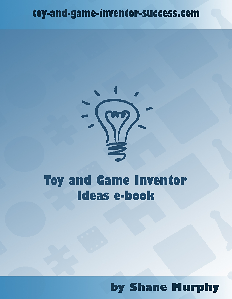### toy-and-game-inventor-success.com



## **Toy and Game Inventor Ideas e-book**

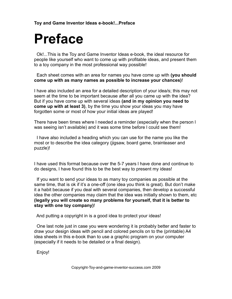# **Preface**

 Ok!...This is the Toy and Game Inventor Ideas e-book, the ideal resource for people like yourself who want to come up with profitable ideas, and present them to a toy company in the most professional way possible!

 Each sheet comes with an area for names you have come up with **(you should come up with as many names as possible to increase your chances)**!

I have also included an area for a detailed description of your idea/s; this may not seem at the time to be important because after all you came up with the idea? But if you have come up with several ideas **(and in my opinion you need to come up with at least 3)**, by the time you show your ideas you may have forgotten some or most of how your initial ideas are played!

There have been times where l needed a reminder (especially when the person l was seeing isn't available) and it was some time before l could see them!

 I have also included a heading which you can use for the name you like the most or to describe the idea category (jigsaw, board game, brainteaser and puzzle)!

I have used this format because over the 5-7 years l have done and continue to do designs, l have found this to be the best way to present my ideas!

 If you want to send your ideas to as many toy companies as possible at the same time, that is ok if it's a one-off (one idea you think is great). But don't make it a habit because if you deal with several companies, then develop a successful idea the other companies may claim that the idea was initially shown to them, etc **(legally you will create so many problems for yourself, that it is better to stay with one toy company)**!

And putting a copyright in is a good idea to protect your ideas!

 One last note just in case you were wondering it is probably better and faster to draw your design ideas with pencil and colored pencils on to the (printable) A4 idea sheets in this e-book than to use a graphic program on your computer (especially if it needs to be detailed or a final design).

Enjoy!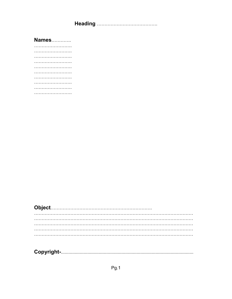**Names............**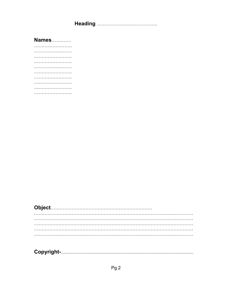**Names............**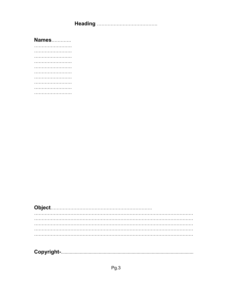**Names............**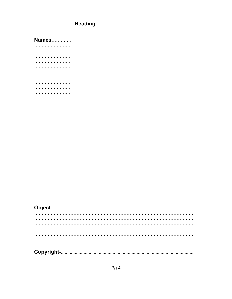**Names............**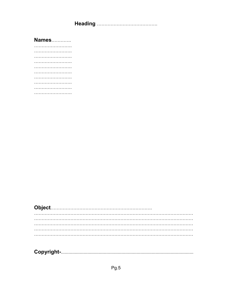**Names............**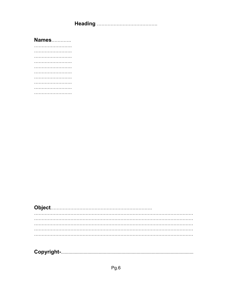**Names............**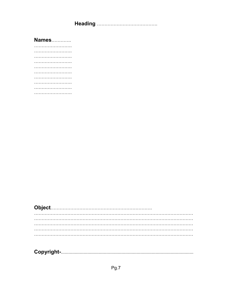**Names............**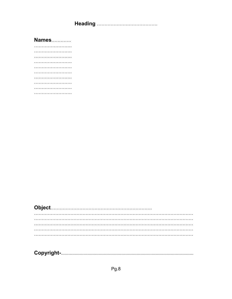**Names............**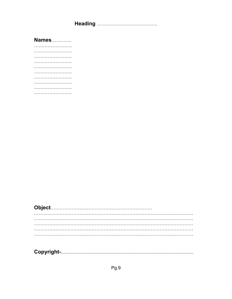**Names............**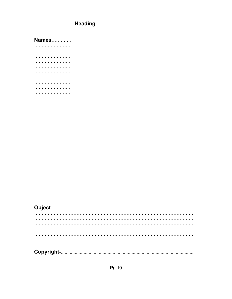**Names............**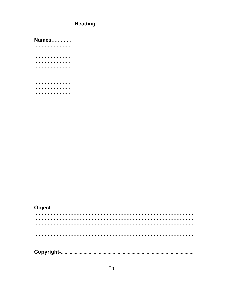**Names............**